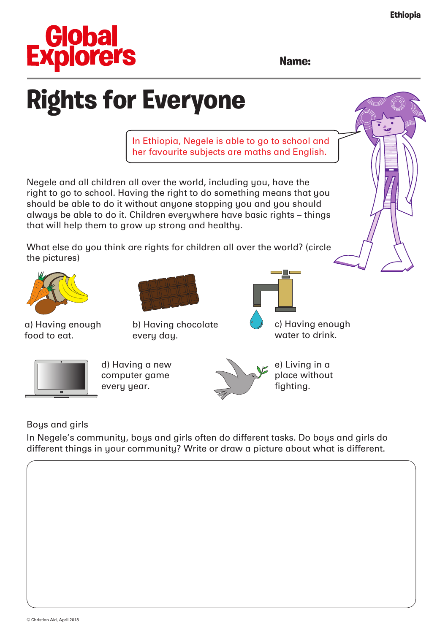

**Name:**

## **Rights for Everyone**

In Ethiopia, Negele is able to go to school and her favourite subjects are maths and English.

Negele and all children all over the world, including you, have the right to go to school. Having the right to do something means that you should be able to do it without anyone stopping you and you should always be able to do it. Children everywhere have basic rights – things that will help them to grow up strong and healthy.

What else do you think are rights for children all over the world? (circle the pictures)



a) Having enough food to eat.



b) Having chocolate every day.



c) Having enough water to drink.



d) Having a new computer game every year.



e) Living in a place without fighting.

Boys and girls

In Negele's community, boys and girls often do different tasks. Do boys and girls do different things in your community? Write or draw a picture about what is different.

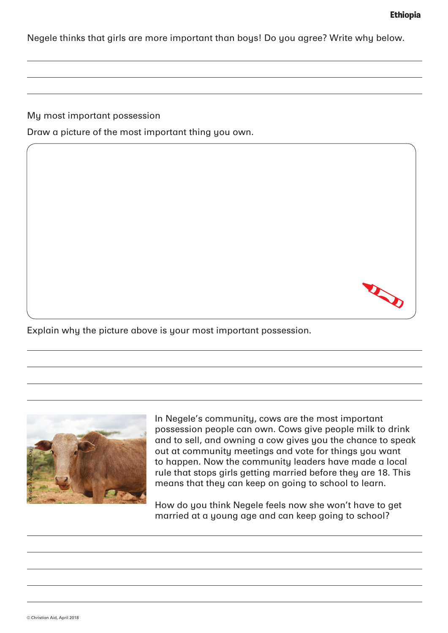Negele thinks that girls are more important than boys! Do you agree? Write why below.

My most important possession

Draw a picture of the most important thing you own.



Explain why the picture above is your most important possession.



In Negele's community, cows are the most important possession people can own. Cows give people milk to drink and to sell, and owning a cow gives you the chance to speak out at community meetings and vote for things you want to happen. Now the community leaders have made a local rule that stops girls getting married before they are 18. This means that they can keep on going to school to learn.

How do you think Negele feels now she won't have to get married at a young age and can keep going to school?